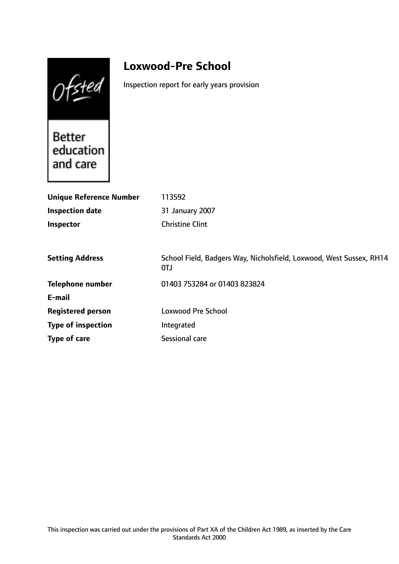Ofsted

# **Loxwood-Pre School**

Inspection report for early years provision

Better<br>education and care

| 113592                                                                     |
|----------------------------------------------------------------------------|
| 31 January 2007                                                            |
| <b>Christine Clint</b>                                                     |
|                                                                            |
| School Field, Badgers Way, Nicholsfield, Loxwood, West Sussex, RH14<br>0TJ |
| 01403 753284 or 01403 823824                                               |
|                                                                            |
| <b>Loxwood Pre School</b>                                                  |
| Integrated                                                                 |
| <b>Sessional care</b>                                                      |
|                                                                            |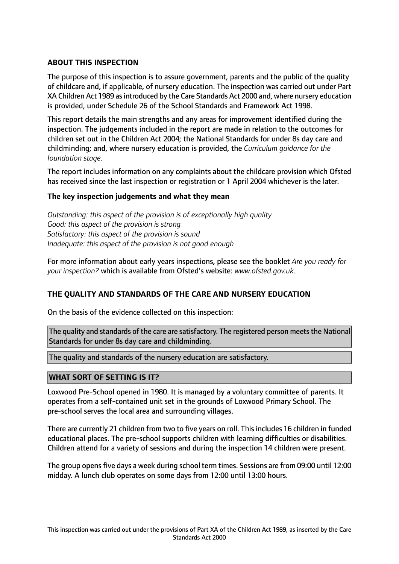# **ABOUT THIS INSPECTION**

The purpose of this inspection is to assure government, parents and the public of the quality of childcare and, if applicable, of nursery education. The inspection was carried out under Part XA Children Act 1989 asintroduced by the Care Standards Act 2000 and, where nursery education is provided, under Schedule 26 of the School Standards and Framework Act 1998.

This report details the main strengths and any areas for improvement identified during the inspection. The judgements included in the report are made in relation to the outcomes for children set out in the Children Act 2004; the National Standards for under 8s day care and childminding; and, where nursery education is provided, the *Curriculum guidance for the foundation stage.*

The report includes information on any complaints about the childcare provision which Ofsted has received since the last inspection or registration or 1 April 2004 whichever is the later.

# **The key inspection judgements and what they mean**

*Outstanding: this aspect of the provision is of exceptionally high quality Good: this aspect of the provision is strong Satisfactory: this aspect of the provision is sound Inadequate: this aspect of the provision is not good enough*

For more information about early years inspections, please see the booklet *Are you ready for your inspection?* which is available from Ofsted's website: *www.ofsted.gov.uk.*

# **THE QUALITY AND STANDARDS OF THE CARE AND NURSERY EDUCATION**

On the basis of the evidence collected on this inspection:

The quality and standards of the care are satisfactory. The registered person meets the National Standards for under 8s day care and childminding.

The quality and standards of the nursery education are satisfactory.

# **WHAT SORT OF SETTING IS IT?**

Loxwood Pre-School opened in 1980. It is managed by a voluntary committee of parents. It operates from a self-contained unit set in the grounds of Loxwood Primary School. The pre-school serves the local area and surrounding villages.

There are currently 21 children from two to five years on roll. This includes 16 children in funded educational places. The pre-school supports children with learning difficulties or disabilities. Children attend for a variety of sessions and during the inspection 14 children were present.

The group opens five days a week during school term times. Sessions are from 09:00 until 12:00 midday. A lunch club operates on some days from 12:00 until 13:00 hours.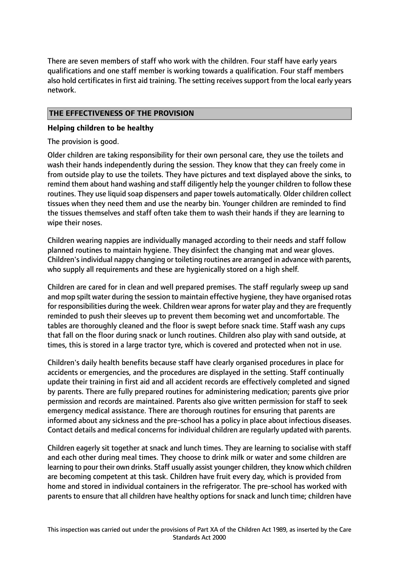There are seven members of staff who work with the children. Four staff have early years qualifications and one staff member is working towards a qualification. Four staff members also hold certificates in first aid training. The setting receives support from the local early years network.

# **THE EFFECTIVENESS OF THE PROVISION**

# **Helping children to be healthy**

The provision is good.

Older children are taking responsibility for their own personal care, they use the toilets and wash their hands independently during the session. They know that they can freely come in from outside play to use the toilets. They have pictures and text displayed above the sinks, to remind them about hand washing and staff diligently help the younger children to follow these routines. They use liquid soap dispensers and paper towels automatically. Older children collect tissues when they need them and use the nearby bin. Younger children are reminded to find the tissues themselves and staff often take them to wash their hands if they are learning to wipe their noses.

Children wearing nappies are individually managed according to their needs and staff follow planned routines to maintain hygiene. They disinfect the changing mat and wear gloves. Children's individual nappy changing or toileting routines are arranged in advance with parents, who supply all requirements and these are hygienically stored on a high shelf.

Children are cared for in clean and well prepared premises. The staff regularly sweep up sand and mop spilt water during the session to maintain effective hygiene, they have organised rotas for responsibilities during the week. Children wear aprons for water play and they are frequently reminded to push their sleeves up to prevent them becoming wet and uncomfortable. The tables are thoroughly cleaned and the floor is swept before snack time. Staff wash any cups that fall on the floor during snack or lunch routines. Children also play with sand outside, at times, this is stored in a large tractor tyre, which is covered and protected when not in use.

Children's daily health benefits because staff have clearly organised procedures in place for accidents or emergencies, and the procedures are displayed in the setting. Staff continually update their training in first aid and all accident records are effectively completed and signed by parents. There are fully prepared routines for administering medication; parents give prior permission and records are maintained. Parents also give written permission for staff to seek emergency medical assistance. There are thorough routines for ensuring that parents are informed about any sickness and the pre-school has a policy in place about infectious diseases. Contact details and medical concerns for individual children are regularly updated with parents.

Children eagerly sit together at snack and lunch times. They are learning to socialise with staff and each other during meal times. They choose to drink milk or water and some children are learning to pour their own drinks. Staff usually assist younger children, they know which children are becoming competent at this task. Children have fruit every day, which is provided from home and stored in individual containers in the refrigerator. The pre-school has worked with parents to ensure that all children have healthy options for snack and lunch time; children have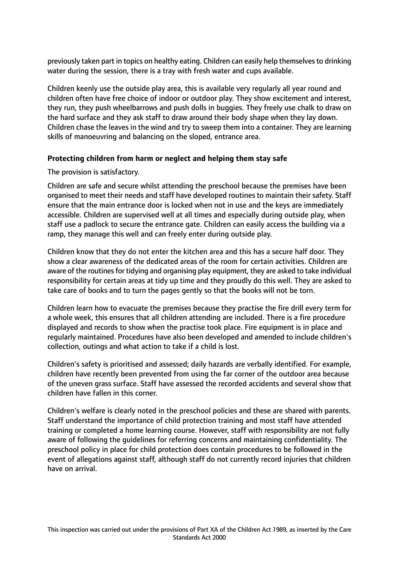previously taken part in topics on healthy eating. Children can easily help themselves to drinking water during the session, there is a tray with fresh water and cups available.

Children keenly use the outside play area, this is available very regularly all year round and children often have free choice of indoor or outdoor play. They show excitement and interest, they run, they push wheelbarrows and push dolls in buggies. They freely use chalk to draw on the hard surface and they ask staff to draw around their body shape when they lay down. Children chase the leaves in the wind and try to sweep them into a container. They are learning skills of manoeuvring and balancing on the sloped, entrance area.

# **Protecting children from harm or neglect and helping them stay safe**

The provision is satisfactory.

Children are safe and secure whilst attending the preschool because the premises have been organised to meet their needs and staff have developed routines to maintain their safety. Staff ensure that the main entrance door is locked when not in use and the keys are immediately accessible. Children are supervised well at all times and especially during outside play, when staff use a padlock to secure the entrance gate. Children can easily access the building via a ramp, they manage this well and can freely enter during outside play.

Children know that they do not enter the kitchen area and this has a secure half door. They show a clear awareness of the dedicated areas of the room for certain activities. Children are aware of the routines for tidying and organising play equipment, they are asked to take individual responsibility for certain areas at tidy up time and they proudly do this well. They are asked to take care of books and to turn the pages gently so that the books will not be torn.

Children learn how to evacuate the premises because they practise the fire drill every term for a whole week, this ensures that all children attending are included. There is a fire procedure displayed and records to show when the practise took place. Fire equipment is in place and regularly maintained. Procedures have also been developed and amended to include children's collection, outings and what action to take if a child is lost.

Children's safety is prioritised and assessed; daily hazards are verbally identified. For example, children have recently been prevented from using the far corner of the outdoor area because of the uneven grass surface. Staff have assessed the recorded accidents and several show that children have fallen in this corner.

Children's welfare is clearly noted in the preschool policies and these are shared with parents. Staff understand the importance of child protection training and most staff have attended training or completed a home learning course. However, staff with responsibility are not fully aware of following the guidelines for referring concerns and maintaining confidentiality. The preschool policy in place for child protection does contain procedures to be followed in the event of allegations against staff, although staff do not currently record injuries that children have on arrival.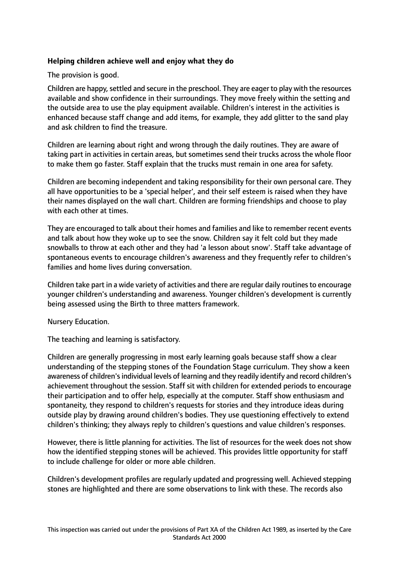# **Helping children achieve well and enjoy what they do**

The provision is good.

Children are happy, settled and secure in the preschool. They are eager to play with the resources available and show confidence in their surroundings. They move freely within the setting and the outside area to use the play equipment available. Children's interest in the activities is enhanced because staff change and add items, for example, they add glitter to the sand play and ask children to find the treasure.

Children are learning about right and wrong through the daily routines. They are aware of taking part in activities in certain areas, but sometimes send their trucks across the whole floor to make them go faster. Staff explain that the trucks must remain in one area for safety.

Children are becoming independent and taking responsibility for their own personal care. They all have opportunities to be a 'special helper', and their self esteem is raised when they have their names displayed on the wall chart. Children are forming friendships and choose to play with each other at times.

They are encouraged to talk about their homes and families and like to remember recent events and talk about how they woke up to see the snow. Children say it felt cold but they made snowballs to throw at each other and they had 'a lesson about snow'. Staff take advantage of spontaneous events to encourage children's awareness and they frequently refer to children's families and home lives during conversation.

Children take part in a wide variety of activities and there are regular daily routines to encourage younger children's understanding and awareness. Younger children's development is currently being assessed using the Birth to three matters framework.

Nursery Education.

The teaching and learning is satisfactory.

Children are generally progressing in most early learning goals because staff show a clear understanding of the stepping stones of the Foundation Stage curriculum. They show a keen awareness of children's individual levels of learning and they readily identify and record children's achievement throughout the session. Staff sit with children for extended periods to encourage their participation and to offer help, especially at the computer. Staff show enthusiasm and spontaneity, they respond to children's requests for stories and they introduce ideas during outside play by drawing around children's bodies. They use questioning effectively to extend children's thinking; they always reply to children's questions and value children's responses.

However, there is little planning for activities. The list of resources for the week does not show how the identified stepping stones will be achieved. This provides little opportunity for staff to include challenge for older or more able children.

Children's development profiles are regularly updated and progressing well. Achieved stepping stones are highlighted and there are some observations to link with these. The records also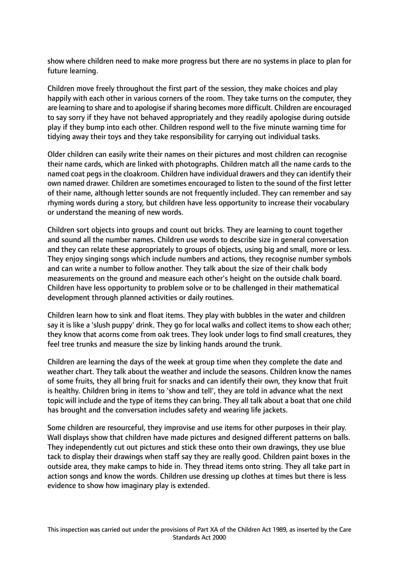show where children need to make more progress but there are no systems in place to plan for future learning.

Children move freely throughout the first part of the session, they make choices and play happily with each other in various corners of the room. They take turns on the computer, they are learning to share and to apologise if sharing becomes more difficult. Children are encouraged to say sorry if they have not behaved appropriately and they readily apologise during outside play if they bump into each other. Children respond well to the five minute warning time for tidying away their toys and they take responsibility for carrying out individual tasks.

Older children can easily write their names on their pictures and most children can recognise their name cards, which are linked with photographs. Children match all the name cards to the named coat pegs in the cloakroom. Children have individual drawers and they can identify their own named drawer. Children are sometimes encouraged to listen to the sound of the first letter of their name, although letter sounds are not frequently included. They can remember and say rhyming words during a story, but children have less opportunity to increase their vocabulary or understand the meaning of new words.

Children sort objects into groups and count out bricks. They are learning to count together and sound all the number names. Children use words to describe size in general conversation and they can relate these appropriately to groups of objects, using big and small, more or less. They enjoy singing songs which include numbers and actions, they recognise number symbols and can write a number to follow another. They talk about the size of their chalk body measurements on the ground and measure each other's height on the outside chalk board. Children have less opportunity to problem solve or to be challenged in their mathematical development through planned activities or daily routines.

Children learn how to sink and float items. They play with bubbles in the water and children say it is like a 'slush puppy' drink. They go for local walks and collect items to show each other; they know that acorns come from oak trees. They look under logs to find small creatures, they feel tree trunks and measure the size by linking hands around the trunk.

Children are learning the days of the week at group time when they complete the date and weather chart. They talk about the weather and include the seasons. Children know the names of some fruits, they all bring fruit for snacks and can identify their own, they know that fruit is healthy. Children bring in items to 'show and tell', they are told in advance what the next topic will include and the type of items they can bring. They all talk about a boat that one child has brought and the conversation includes safety and wearing life jackets.

Some children are resourceful, they improvise and use items for other purposes in their play. Wall displays show that children have made pictures and designed different patterns on balls. They independently cut out pictures and stick these onto their own drawings, they use blue tack to display their drawings when staff say they are really good. Children paint boxes in the outside area, they make camps to hide in. They thread items onto string. They all take part in action songs and know the words. Children use dressing up clothes at times but there is less evidence to show how imaginary play is extended.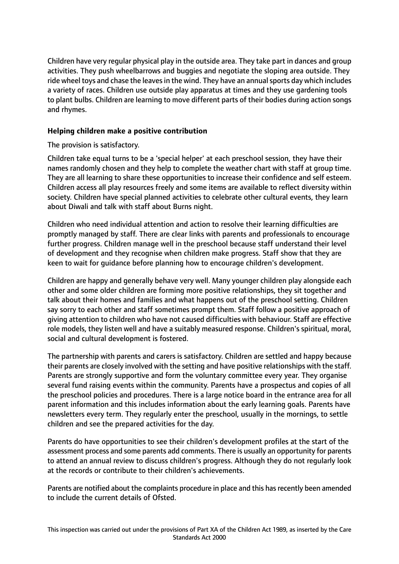Children have very regular physical play in the outside area. They take part in dances and group activities. They push wheelbarrows and buggies and negotiate the sloping area outside. They ride wheel toys and chase the leaves in the wind. They have an annual sports day which includes a variety of races. Children use outside play apparatus at times and they use gardening tools to plant bulbs. Children are learning to move different parts of their bodies during action songs and rhymes.

# **Helping children make a positive contribution**

The provision is satisfactory.

Children take equal turns to be a 'special helper' at each preschool session, they have their names randomly chosen and they help to complete the weather chart with staff at group time. They are all learning to share these opportunities to increase their confidence and self esteem. Children access all play resources freely and some items are available to reflect diversity within society. Children have special planned activities to celebrate other cultural events, they learn about Diwali and talk with staff about Burns night.

Children who need individual attention and action to resolve their learning difficulties are promptly managed by staff. There are clear links with parents and professionals to encourage further progress. Children manage well in the preschool because staff understand their level of development and they recognise when children make progress. Staff show that they are keen to wait for guidance before planning how to encourage children's development.

Children are happy and generally behave very well. Many younger children play alongside each other and some older children are forming more positive relationships, they sit together and talk about their homes and families and what happens out of the preschool setting. Children say sorry to each other and staff sometimes prompt them. Staff follow a positive approach of giving attention to children who have not caused difficulties with behaviour. Staff are effective role models, they listen well and have a suitably measured response. Children's spiritual, moral, social and cultural development is fostered.

The partnership with parents and carers is satisfactory. Children are settled and happy because their parents are closely involved with the setting and have positive relationships with the staff. Parents are strongly supportive and form the voluntary committee every year. They organise several fund raising events within the community. Parents have a prospectus and copies of all the preschool policies and procedures. There is a large notice board in the entrance area for all parent information and this includes information about the early learning goals. Parents have newsletters every term. They regularly enter the preschool, usually in the mornings, to settle children and see the prepared activities for the day.

Parents do have opportunities to see their children's development profiles at the start of the assessment process and some parents add comments. There is usually an opportunity for parents to attend an annual review to discuss children's progress. Although they do not regularly look at the records or contribute to their children's achievements.

Parents are notified about the complaints procedure in place and this has recently been amended to include the current details of Ofsted.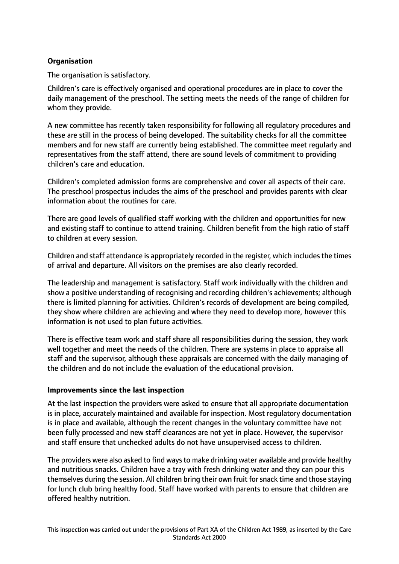# **Organisation**

The organisation is satisfactory.

Children's care is effectively organised and operational procedures are in place to cover the daily management of the preschool. The setting meets the needs of the range of children for whom they provide.

A new committee has recently taken responsibility for following all regulatory procedures and these are still in the process of being developed. The suitability checks for all the committee members and for new staff are currently being established. The committee meet regularly and representatives from the staff attend, there are sound levels of commitment to providing children's care and education.

Children's completed admission forms are comprehensive and cover all aspects of their care. The preschool prospectus includes the aims of the preschool and provides parents with clear information about the routines for care.

There are good levels of qualified staff working with the children and opportunities for new and existing staff to continue to attend training. Children benefit from the high ratio of staff to children at every session.

Children and staff attendance is appropriately recorded in the register, which includesthe times of arrival and departure. All visitors on the premises are also clearly recorded.

The leadership and management is satisfactory. Staff work individually with the children and show a positive understanding of recognising and recording children's achievements; although there is limited planning for activities. Children's records of development are being compiled, they show where children are achieving and where they need to develop more, however this information is not used to plan future activities.

There is effective team work and staff share all responsibilities during the session, they work well together and meet the needs of the children. There are systems in place to appraise all staff and the supervisor, although these appraisals are concerned with the daily managing of the children and do not include the evaluation of the educational provision.

# **Improvements since the last inspection**

At the last inspection the providers were asked to ensure that all appropriate documentation is in place, accurately maintained and available for inspection. Most regulatory documentation is in place and available, although the recent changes in the voluntary committee have not been fully processed and new staff clearances are not yet in place. However, the supervisor and staff ensure that unchecked adults do not have unsupervised access to children.

The providers were also asked to find waysto make drinking water available and provide healthy and nutritious snacks. Children have a tray with fresh drinking water and they can pour this themselves during the session. All children bring their own fruit forsnack time and those staying for lunch club bring healthy food. Staff have worked with parents to ensure that children are offered healthy nutrition.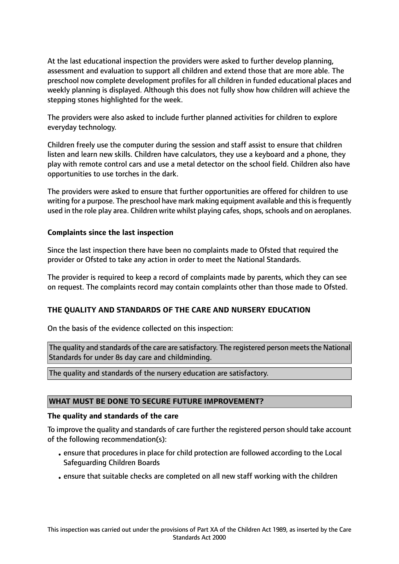At the last educational inspection the providers were asked to further develop planning, assessment and evaluation to support all children and extend those that are more able. The preschool now complete development profiles for all children in funded educational places and weekly planning is displayed. Although this does not fully show how children will achieve the stepping stones highlighted for the week.

The providers were also asked to include further planned activities for children to explore everyday technology.

Children freely use the computer during the session and staff assist to ensure that children listen and learn new skills. Children have calculators, they use a keyboard and a phone, they play with remote control cars and use a metal detector on the school field. Children also have opportunities to use torches in the dark.

The providers were asked to ensure that further opportunities are offered for children to use writing for a purpose. The preschool have mark making equipment available and this is frequently used in the role play area. Children write whilst playing cafes, shops, schools and on aeroplanes.

# **Complaints since the last inspection**

Since the last inspection there have been no complaints made to Ofsted that required the provider or Ofsted to take any action in order to meet the National Standards.

The provider is required to keep a record of complaints made by parents, which they can see on request. The complaints record may contain complaints other than those made to Ofsted.

# **THE QUALITY AND STANDARDS OF THE CARE AND NURSERY EDUCATION**

On the basis of the evidence collected on this inspection:

The quality and standards of the care are satisfactory. The registered person meets the National Standards for under 8s day care and childminding.

The quality and standards of the nursery education are satisfactory.

#### **WHAT MUST BE DONE TO SECURE FUTURE IMPROVEMENT?**

#### **The quality and standards of the care**

To improve the quality and standards of care further the registered person should take account of the following recommendation(s):

- •ensure that procedures in place for child protection are followed according to the Local Safeguarding Children Boards
- •ensure that suitable checks are completed on all new staff working with the children